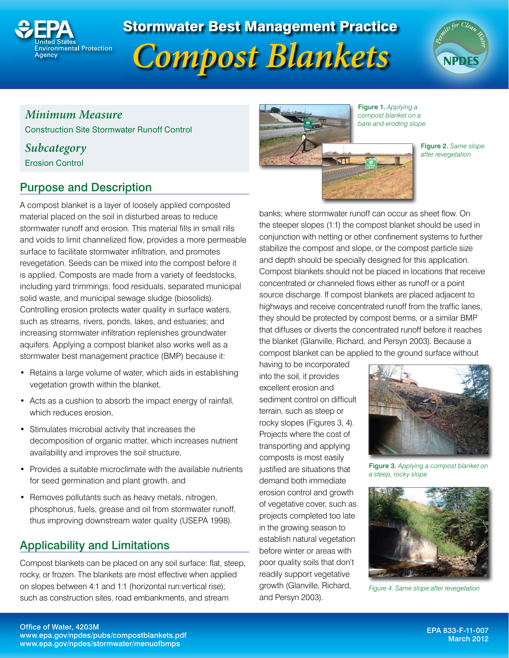

# Stormwater Best Management Practice





# *Minimum Measure*

Construction Site Stormwater Runoff Control

### *Subcategory*

Erosion Control

# Purpose and Description

A compost blanket is a layer of loosely applied composted material placed on the soil in disturbed areas to reduce stormwater runoff and erosion. This material fills in small rills and voids to limit channelized flow, provides a more permeable surface to facilitate stormwater infiltration, and promotes revegetation. Seeds can be mixed into the compost before it is applied. Composts are made from a variety of feedstocks, including yard trimmings, food residuals, separated municipal solid waste, and municipal sewage sludge (biosolids). Controlling erosion protects water quality in surface waters, such as streams, rivers, ponds, lakes, and estuaries; and increasing stormwater infiltration replenishes groundwater aquifers. Applying a compost blanket also works well as a stormwater best management practice (BMP) because it:

- Retains a large volume of water, which aids in establishing vegetation growth within the blanket,
- Acts as a cushion to absorb the impact energy of rainfall, which reduces erosion,
- Stimulates microbial activity that increases the decomposition of organic matter, which increases nutrient availability and improves the soil structure,
- Provides a suitable microclimate with the available nutrients for seed germination and plant growth, and
- Removes pollutants such as heavy metals, nitrogen, phosphorus, fuels, grease and oil from stormwater runoff, thus improving downstream water quality (USEPA 1998).

# Applicability and Limitations

Compost blankets can be placed on any soil surface: flat, steep, rocky, or frozen. The blankets are most effective when applied on slopes between 4:1 and 1:1 (horizontal run:vertical rise); such as construction sites, road embankments, and stream



Figure 1. *Applying a compost blanket on a bare and eroding slope*

> Figure 2. *Same slope after revegetation*

banks; where stormwater runoff can occur as sheet flow. On the steeper slopes (1:1) the compost blanket should be used in conjunction with netting or other confinement systems to further stabilize the compost and slope, or the compost particle size and depth should be specially designed for this application. Compost blankets should not be placed in locations that receive concentrated or channeled flows either as runoff or a point source discharge. If compost blankets are placed adjacent to highways and receive concentrated runoff from the traffic lanes, they should be protected by compost berms, or a similar BMP that diffuses or diverts the concentrated runoff before it reaches the blanket (Glanville, Richard, and Persyn 2003). Because a compost blanket can be applied to the ground surface without

having to be incorporated into the soil, it provides excellent erosion and sediment control on difficult terrain, such as steep or rocky slopes (Figures 3, 4). Projects where the cost of transporting and applying composts is most easily justified are situations that demand both immediate erosion control and growth of vegetative cover, such as projects completed too late in the growing season to establish natural vegetation before winter or areas with poor quality soils that don't readily support vegetative growth (Glanville, Richard, and Persyn 2003).



Figure 3. *Applying a compost blanket on a steep, rocky slope*



*Figure 4. Same slope after revegetation*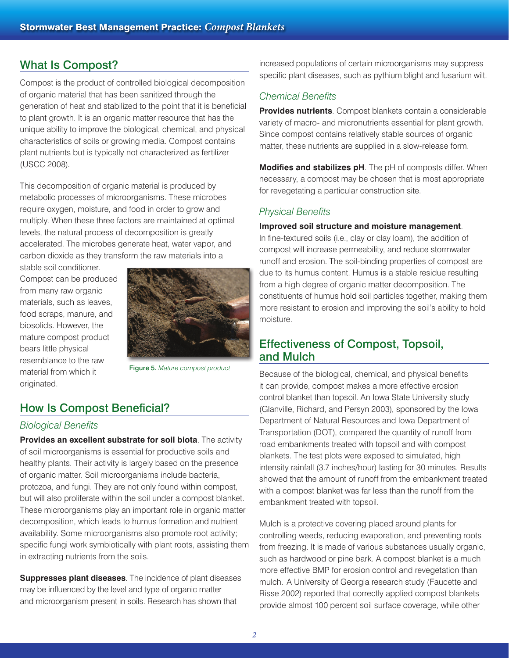# What Is Compost?

Compost is the product of controlled biological decomposition of organic material that has been sanitized through the generation of heat and stabilized to the point that it is beneficial to plant growth. It is an organic matter resource that has the unique ability to improve the biological, chemical, and physical characteristics of soils or growing media. Compost contains plant nutrients but is typically not characterized as fertilizer (USCC 2008).

This decomposition of organic material is produced by metabolic processes of microorganisms. These microbes require oxygen, moisture, and food in order to grow and multiply. When these three factors are maintained at optimal levels, the natural process of decomposition is greatly accelerated. The microbes generate heat, water vapor, and carbon dioxide as they transform the raw materials into a

stable soil conditioner. Compost can be produced from many raw organic materials, such as leaves, food scraps, manure, and biosolids. However, the mature compost product bears little physical resemblance to the raw material from which it originated.



Figure 5. *Mature compost product*

# How Is Compost Beneficial?

#### *Biological Benefits*

**Provides an excellent substrate for soil biota**. The activity of soil microorganisms is essential for productive soils and healthy plants. Their activity is largely based on the presence of organic matter. Soil microorganisms include bacteria, protozoa, and fungi. They are not only found within compost, but will also proliferate within the soil under a compost blanket. These microorganisms play an important role in organic matter decomposition, which leads to humus formation and nutrient availability. Some microorganisms also promote root activity; specific fungi work symbiotically with plant roots, assisting them in extracting nutrients from the soils.

**Suppresses plant diseases**. The incidence of plant diseases may be influenced by the level and type of organic matter and microorganism present in soils. Research has shown that

increased populations of certain microorganisms may suppress specific plant diseases, such as pythium blight and fusarium wilt.

#### *Chemical Benefits*

**Provides nutrients**. Compost blankets contain a considerable variety of macro- and micronutrients essential for plant growth. Since compost contains relatively stable sources of organic matter, these nutrients are supplied in a slow-release form.

**Modifies and stabilizes pH**. The pH of composts differ. When necessary, a compost may be chosen that is most appropriate for revegetating a particular construction site.

#### *Physical Benefits*

#### **Improved soil structure and moisture management**.

In fine-textured soils (i.e., clay or clay loam), the addition of compost will increase permeability, and reduce stormwater runoff and erosion. The soil-binding properties of compost are due to its humus content. Humus is a stable residue resulting from a high degree of organic matter decomposition. The constituents of humus hold soil particles together, making them more resistant to erosion and improving the soil's ability to hold moisture.

#### Effectiveness of Compost, Topsoil, and Mulch

Because of the biological, chemical, and physical benefits it can provide, compost makes a more effective erosion control blanket than topsoil. An Iowa State University study (Glanville, Richard, and Persyn 2003), sponsored by the Iowa Department of Natural Resources and Iowa Department of Transportation (DOT), compared the quantity of runoff from road embankments treated with topsoil and with compost blankets. The test plots were exposed to simulated, high intensity rainfall (3.7 inches/hour) lasting for 30 minutes. Results showed that the amount of runoff from the embankment treated with a compost blanket was far less than the runoff from the embankment treated with topsoil.

Mulch is a protective covering placed around plants for controlling weeds, reducing evaporation, and preventing roots from freezing. It is made of various substances usually organic, such as hardwood or pine bark. A compost blanket is a much more effective BMP for erosion control and revegetation than mulch. A University of Georgia research study (Faucette and Risse 2002) reported that correctly applied compost blankets provide almost 100 percent soil surface coverage, while other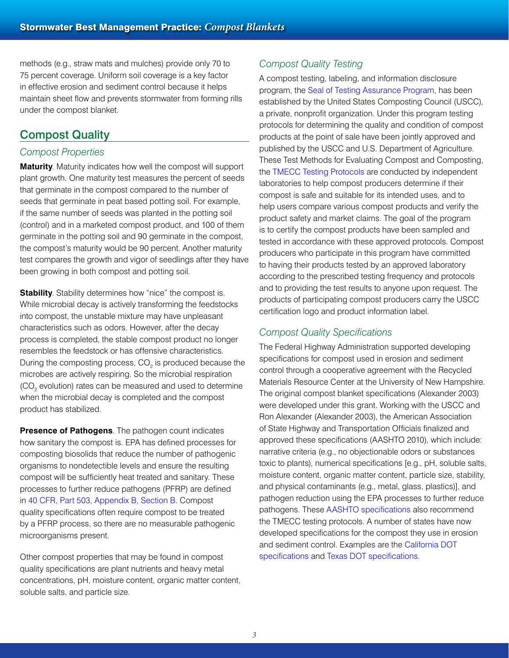methods (e.g., straw mats and mulches) provide only 70 to 75 percent coverage. Uniform soil coverage is a key factor in effective erosion and sediment control because it helps maintain sheet flow and prevents stormwater from forming rills under the compost blanket.

### Compost Quality

#### *Compost Properties*

**Maturity**. Maturity indicates how well the compost will support plant growth. One maturity test measures the percent of seeds that germinate in the compost compared to the number of seeds that germinate in peat based potting soil. For example, if the same number of seeds was planted in the potting soil (control) and in a marketed compost product, and 100 of them germinate in the potting soil and 90 germinate in the compost, the compost's maturity would be 90 percent. Another maturity test compares the growth and vigor of seedlings after they have been growing in both compost and potting soil.

**Stability**. Stability determines how "nice" the compost is. While microbial decay is actively transforming the feedstocks into compost, the unstable mixture may have unpleasant characteristics such as odors. However, after the decay process is completed, the stable compost product no longer resembles the feedstock or has offensive characteristics. During the composting process,  $CO<sub>2</sub>$  is produced because the microbes are actively respiring. So the microbial respiration (CO<sub>2</sub> evolution) rates can be measured and used to determine when the microbial decay is completed and the compost product has stabilized.

**Presence of Pathogens**. The pathogen count indicates how sanitary the compost is. EPA has defined processes for composting biosolids that reduce the number of pathogenic organisms to nondetectible levels and ensure the resulting compost will be sufficiently heat treated and sanitary. These processes to further reduce pathogens (PFRP) are defined in [40 CFR, Part 503, Appendix B, Section B](http://ecfr.gpoaccess.gov/cgi/t/text/text-idx?c=ecfr&sid=1cc61c0a7ffa43e62866f68bb9fbf292&rgn=div5&view=text&node=40:30.0.1.2.41&idno=40#40:30.0.1.2.41.5.13.10.31). Compost quality specifications often require compost to be treated by a PFRP process, so there are no measurable pathogenic microorganisms present.

Other compost properties that may be found in compost quality specifications are plant nutrients and heavy metal concentrations, pH, moisture content, organic matter content, soluble salts, and particle size.

#### *Compost Quality Testing*

A compost testing, labeling, and information disclosure program, the [Seal of Testing Assurance Program](http://compostingcouncil.org/seal-of-testing-assurance/), has been established by the United States Composting Council (USCC), a private, nonprofit organization. Under this program testing protocols for determining the quality and condition of compost products at the point of sale have been jointly approved and published by the USCC and U.S. Department of Agriculture. These Test Methods for Evaluating Compost and Composting, the [TMECC Testing Protocols](http://compostingcouncil.org/tmecc/) are conducted by independent laboratories to help compost producers determine if their compost is safe and suitable for its intended uses, and to help users compare various compost products and verify the product safety and market claims. The goal of the program is to certify the compost products have been sampled and tested in accordance with these approved protocols. Compost producers who participate in this program have committed to having their products tested by an approved laboratory according to the prescribed testing frequency and protocols and to providing the test results to anyone upon request. The products of participating compost producers carry the USCC certification logo and product information label.

#### *Compost Quality Specifications*

The Federal Highway Administration supported developing specifications for compost used in erosion and sediment control through a cooperative agreement with the Recycled Materials Resource Center at the University of New Hampshire. The original compost blanket specifications (Alexander 2003) were developed under this grant. Working with the USCC and Ron Alexander (Alexander 2003), the American Association of State Highway and Transportation Officials finalized and approved these specifications (AASHTO 2010), which include: narrative criteria (e.g., no objectionable odors or substances toxic to plants), numerical specifications [e.g., pH, soluble salts, moisture content, organic matter content, particle size, stability, and physical contaminants (e.g., metal, glass, plastics)], and pathogen reduction using the EPA processes to further reduce pathogens. These [AASHTO specifications](http://www.epa.gov/npdes/pubs/aashto.pdf) also recommend the TMECC testing protocols. A number of states have now developed specifications for the compost they use in erosion and sediment control. Examples are the [California DOT](http://www.dot.ca.gov/hq/esc/oe/specifications/SSPs/2006-SSPs/Sec_10/20/20-055_E_A01-20-12.doc)  [specifications](http://www.dot.ca.gov/hq/esc/oe/specifications/SSPs/2006-SSPs/Sec_10/20/20-055_E_A01-20-12.doc) and [Texas DOT specifications.](ftp://ftp.dot.state.tx.us/pub/txdot-info/cmd/cserve/specs/2004/standard/s161.pdf)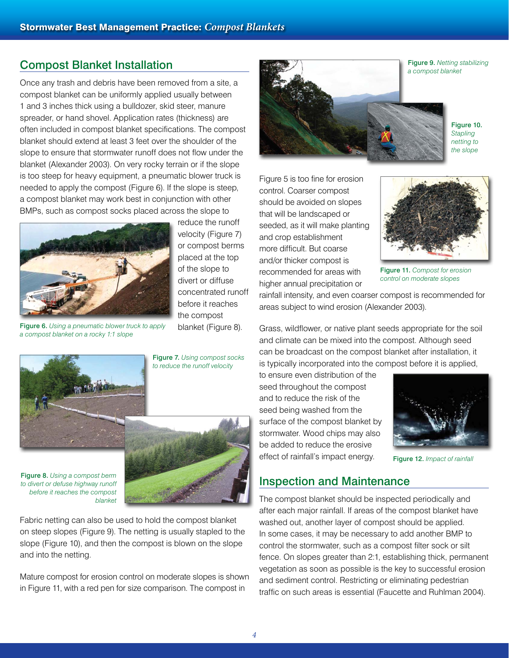### Compost Blanket Installation

Once any trash and debris have been removed from a site, a compost blanket can be uniformly applied usually between 1 and 3 inches thick using a bulldozer, skid steer, manure spreader, or hand shovel. Application rates (thickness) are often included in compost blanket specifications. The compost blanket should extend at least 3 feet over the shoulder of the slope to ensure that stormwater runoff does not flow under the blanket (Alexander 2003). On very rocky terrain or if the slope is too steep for heavy equipment, a pneumatic blower truck is needed to apply the compost (Figure 6). If the slope is steep, a compost blanket may work best in conjunction with other BMPs, such as compost socks placed across the slope to



reduce the runoff velocity (Figure 7) or compost berms placed at the top of the slope to divert or diffuse concentrated runoff before it reaches the compost blanket (Figure 8).

**Security** 

*a compost blanket on a rocky 1:1 slope*

Figure 7. *Using compost socks* 



*to reduce the runoff velocity* 

Figure 8. *Using a compost berm to divert or defuse highway runoff before it reaches the compost blanket* 



Fabric netting can also be used to hold the compost blanket on steep slopes (Figure 9). The netting is usually stapled to the slope (Figure 10), and then the compost is blown on the slope and into the netting.

Mature compost for erosion control on moderate slopes is shown in Figure 11, with a red pen for size comparison. The compost in



Figure 10. *Stapling netting to the slope* 

Figure 5 is too fine for erosion control. Coarser compost should be avoided on slopes that will be landscaped or seeded, as it will make planting and crop establishment more difficult. But coarse and/or thicker compost is recommended for areas with higher annual precipitation or



Figure 11. *Compost for erosion control on moderate slopes*

rainfall intensity, and even coarser compost is recommended for areas subject to wind erosion (Alexander 2003).

Grass, wildflower, or native plant seeds appropriate for the soil and climate can be mixed into the compost. Although seed can be broadcast on the compost blanket after installation, it is typically incorporated into the compost before it is applied,

to ensure even distribution of the seed throughout the compost and to reduce the risk of the seed being washed from the surface of the compost blanket by stormwater. Wood chips may also be added to reduce the erosive effect of rainfall's impact energy.



Figure 12. *Impact of rainfall*

### Inspection and Maintenance

The compost blanket should be inspected periodically and after each major rainfall. If areas of the compost blanket have washed out, another layer of compost should be applied. In some cases, it may be necessary to add another BMP to control the stormwater, such as a compost filter sock or silt fence. On slopes greater than 2:1, establishing thick, permanent vegetation as soon as possible is the key to successful erosion and sediment control. Restricting or eliminating pedestrian traffic on such areas is essential (Faucette and Ruhlman 2004).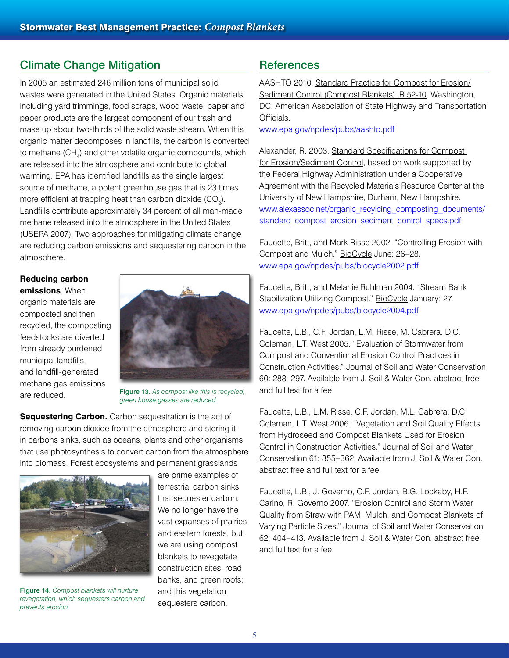# Climate Change Mitigation

In 2005 an estimated 246 million tons of municipal solid wastes were generated in the United States. Organic materials including yard trimmings, food scraps, wood waste, paper and paper products are the largest component of our trash and make up about two-thirds of the solid waste stream. When this organic matter decomposes in landfills, the carbon is converted to methane (CH<sub>4</sub>) and other volatile organic compounds, which are released into the atmosphere and contribute to global warming. EPA has identified landfills as the single largest source of methane, a potent greenhouse gas that is 23 times more efficient at trapping heat than carbon dioxide (CO<sub>2</sub>). Landfills contribute approximately 34 percent of all man-made methane released into the atmosphere in the United States (USEPA 2007). Two approaches for mitigating climate change are reducing carbon emissions and sequestering carbon in the atmosphere.

#### **Reducing carbon**

**emissions**. When organic materials are composted and then recycled, the composting feedstocks are diverted from already burdened municipal landfills, and landfill-generated methane gas emissions are reduced.



Figure 13. *As compost like this is recycled, green house gasses are reduced*

**Sequestering Carbon.** Carbon sequestration is the act of removing carbon dioxide from the atmosphere and storing it in carbons sinks, such as oceans, plants and other organisms that use photosynthesis to convert carbon from the atmosphere into biomass. Forest ecosystems and permanent grasslands



Figure 14. *Compost blankets will nurture revegetation, which sequesters carbon and prevents erosion*

are prime examples of terrestrial carbon sinks that sequester carbon. We no longer have the vast expanses of prairies and eastern forests, but we are using compost blankets to revegetate construction sites, road banks, and green roofs; and this vegetation sequesters carbon.

## **References**

AASHTO 2010. Standard Practice for Compost for Erosion/ Sediment Control (Compost Blankets), R 52-10. Washington, DC: American Association of State Highway and Transportation Officials.

[www.epa.gov/npdes/pubs/aashto.pdf](http://www.epa.gov/npdes/pubs/aashto.pdf)

Alexander, R. 2003. Standard Specifications for Compost for Erosion/Sediment Control, based on work supported by the Federal Highway Administration under a Cooperative Agreement with the Recycled Materials Resource Center at the University of New Hampshire, Durham, New Hampshire. [www.alexassoc.net/organic\\_recylcing\\_composting\\_documents/](http://www.alexassoc.net/organic_recylcing_composting_documents/standard_compost_erosion_sediment_control_specs.pdf) [standard\\_compost\\_erosion\\_sediment\\_control\\_specs.pdf](http://www.alexassoc.net/organic_recylcing_composting_documents/standard_compost_erosion_sediment_control_specs.pdf)

Faucette, Britt, and Mark Risse 2002. "Controlling Erosion with Compost and Mulch." BioCycle June: 26–28. [www.epa.gov/npdes/pubs/biocycle2002.pdf](http://www.epa.gov/npdes/pubs/biocycle2002.pdf)

Faucette, Britt, and Melanie Ruhlman 2004. "Stream Bank Stabilization Utilizing Compost." BioCycle January: 27. [www.epa.gov/npdes/pubs/biocycle2004.pdf](http://www.epa.gov/npdes/pubs/biocycle2004.pdf)

Faucette, L.B., C.F. Jordan, L.M. Risse, M. Cabrera. D.C. Coleman, L.T. West 2005. "Evaluation of Stormwater from Compost and Conventional Erosion Control Practices in Construction Activities." Journal of Soil and Water Conservation 60: 288–297. Available from J. Soil & Water Con. abstract free and full text for a fee.

Faucette, L.B., L.M. Risse, C.F. Jordan, M.L. Cabrera, D.C. Coleman, L.T. West 2006. "Vegetation and Soil Quality Effects from Hydroseed and Compost Blankets Used for Erosion Control in Construction Activities." Journal of Soil and Water Conservation 61: 355–362. Available from J. Soil & Water Con. abstract free and full text for a fee.

Faucette, L.B., J. Governo, C.F. Jordan, B.G. Lockaby, H.F. Carino, R. Governo 2007. "Erosion Control and Storm Water Quality from Straw with PAM, Mulch, and Compost Blankets of Varying Particle Sizes." Journal of Soil and Water Conservation 62: 404–413. Available from J. Soil & Water Con. abstract free and full text for a fee.